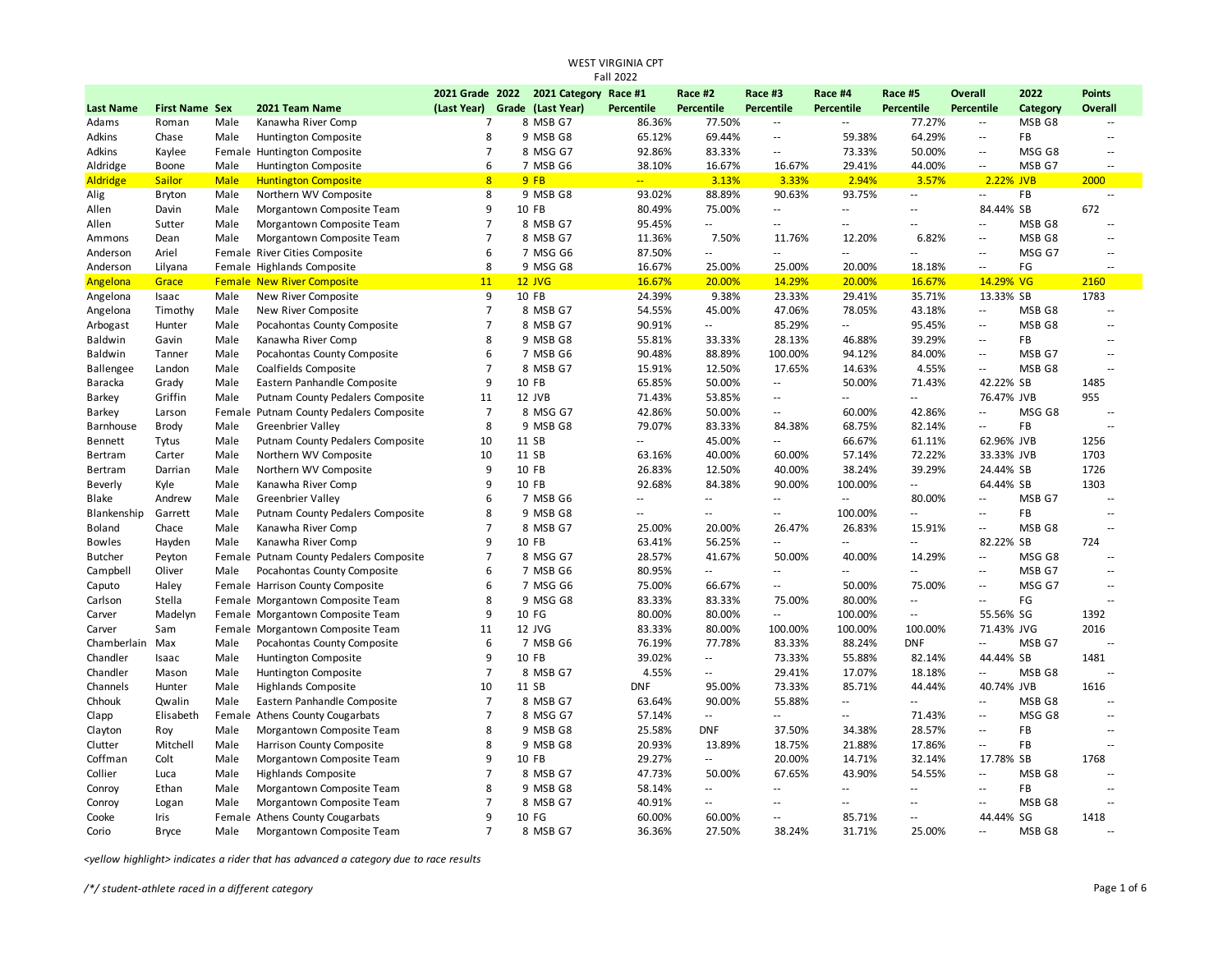| Fall 2022          |                       |             |                                         |                     |  |                       |            |                             |                          |                                    |                             |                          |              |                          |
|--------------------|-----------------------|-------------|-----------------------------------------|---------------------|--|-----------------------|------------|-----------------------------|--------------------------|------------------------------------|-----------------------------|--------------------------|--------------|--------------------------|
|                    |                       |             |                                         | 2021 Grade 2022     |  | 2021 Category Race #1 |            | Race #2                     | Race #3                  | Race #4                            | Race #5                     | <b>Overall</b>           | 2022         | <b>Points</b>            |
| <b>Last Name</b>   | <b>First Name Sex</b> |             | 2021 Team Name                          | (Last Year)         |  | Grade (Last Year)     | Percentile | <b>Percentile</b>           | Percentile               | Percentile                         | Percentile                  | <b>Percentile</b>        | Category     | <b>Overall</b>           |
| Adams              | Roman                 | Male        | Kanawha River Comp                      | $\overline{7}$      |  | 8 MSB G7              | 86.36%     | 77.50%                      | $\sim$                   | $\sim$ $\sim$                      | 77.27%                      | $\sim$                   | MSB G8       | $\sim$                   |
| Adkins             | Chase                 | Male        | Huntington Composite                    | 8                   |  | 9 MSB G8              | 65.12%     | 69.44%                      | Ξ.                       | 59.38%                             | 64.29%                      | $\ddotsc$                | <b>FB</b>    | $\sim$                   |
| Adkins             | Kaylee                |             | Female Huntington Composite             | $\overline{7}$      |  | 8 MSG G7              | 92.86%     | 83.33%                      | Ξ.                       | 73.33%                             | 50.00%                      | Ξ.                       | MSG G8       | $\overline{a}$           |
| Aldridge           | Boone                 | Male        | Huntington Composite                    | 6                   |  | 7 MSB G6              | 38.10%     | 16.67%                      | 16.67%                   | 29.41%                             | 44.00%                      | $\overline{a}$           | MSB G7       | $\overline{a}$           |
| <b>Aldridge</b>    | <b>Sailor</b>         | <b>Male</b> | <b>Huntington Composite</b>             | 8                   |  | 9FB                   | ш.         | 3.13%                       | 3.33%                    | 2.94%                              | 3.57%                       | 2.22% JVB                |              | 2000                     |
| Alig               | <b>Bryton</b>         | Male        | Northern WV Composite                   | 8                   |  | 9 MSB G8              | 93.02%     | 88.89%                      | 90.63%                   | 93.75%                             | $\sim$ $\sim$               | Ξ.                       | FB           | $\sim$                   |
| Allen              | Davin                 | Male        | Morgantown Composite Team               | 9                   |  | 10 FB                 | 80.49%     | 75.00%                      | Щ.                       | $\sim$                             | $\sim$ $\sim$               | 84.44% SB                |              | 672                      |
| Allen              | Sutter                | Male        | Morgantown Composite Team               | $\overline{7}$      |  | 8 MSB G7              | 95.45%     | u.                          | $\sim$                   | $\sim$ $\sim$                      | $\sim$                      | Ξ.                       | MSB G8       | $\sim$                   |
| Ammons             | Dean                  | Male        | Morgantown Composite Team               | $\overline{7}$      |  | 8 MSB G7              | 11.36%     | 7.50%                       | 11.76%                   | 12.20%                             | 6.82%                       | $\overline{\phantom{a}}$ | MSB G8       | $\overline{\phantom{a}}$ |
| Anderson           | Ariel                 |             | Female River Cities Composite           | 6                   |  | 7 MSG G6              | 87.50%     | $\mathcal{L} = \mathcal{L}$ | $\overline{a}$           | $\sim$                             | $\sim$                      | $\sim$                   | MSG G7       | $\sim$                   |
| Anderson           | Lilyana               |             | Female Highlands Composite              | 8                   |  | 9 MSG G8              | 16.67%     | 25.00%                      | 25.00%                   | 20.00%                             | 18.18%                      | $\sim$ $\sim$            | FG           | $\ddotsc$                |
| Angelona           | Grace                 |             | <b>Female New River Composite</b>       | 11                  |  | $12$ JVG              | 16.67%     | 20.00%                      | 14.29%                   | 20.00%                             | 16.67%                      | 14.29% VG                |              | 2160                     |
| Angelona           | Isaac                 | Male        | New River Composite                     | 9                   |  | 10 FB                 | 24.39%     | 9.38%                       | 23.33%                   | 29.41%                             | 35.71%                      | 13.33% SB                |              | 1783                     |
| Angelona           | Timothy               | Male        | New River Composite                     | $\overline{7}$      |  | 8 MSB G7              | 54.55%     | 45.00%                      | 47.06%                   | 78.05%                             | 43.18%                      | $\overline{\phantom{a}}$ | MSB G8       | $\overline{a}$           |
| Arbogast           | Hunter                | Male        | Pocahontas County Composite             | $\overline{7}$      |  | 8 MSB G7              | 90.91%     | $\overline{\phantom{a}}$    | 85.29%                   | н.                                 | 95.45%                      | ٠.                       | MSB G8       | $\sim$                   |
| Baldwin            | Gavin                 | Male        | Kanawha River Comp                      | 8                   |  | 9 MSB G8              | 55.81%     | 33.33%                      | 28.13%                   | 46.88%                             | 39.29%                      | $\mathbb{Z}^2$           | FB           | ÷.                       |
| Baldwin            | Tanner                | Male        | Pocahontas County Composite             | 6                   |  | 7 MSB G6              | 90.48%     | 88.89%                      | 100.00%                  | 94.12%                             | 84.00%                      | $\sim$ $\sim$            | MSB G7       | $\sim$                   |
| <b>Ballengee</b>   | Landon                | Male        | Coalfields Composite                    | $\overline{7}$      |  | 8 MSB G7              | 15.91%     | 12.50%                      | 17.65%                   | 14.63%                             | 4.55%                       | $\overline{a}$           | MSB G8       | $\sim$                   |
| Baracka            | Grady                 | Male        | Eastern Panhandle Composite             | 9                   |  | 10 FB                 | 65.85%     | 50.00%                      | Ξ.                       | 50.00%                             | 71.43%                      | 42.22% SB                |              | 1485                     |
| <b>Barkey</b>      | Griffin               | Male        | Putnam County Pedalers Composite        | 11                  |  | 12 JVB                | 71.43%     | 53.85%                      | Ξ.                       | $\overline{\phantom{a}}$           | $\overline{a}$              | 76.47% JVB               |              | 955                      |
| <b>Barkey</b>      | Larson                |             | Female Putnam County Pedalers Composite | $\overline{7}$      |  | 8 MSG G7              | 42.86%     | 50.00%                      | $\overline{\phantom{a}}$ | 60.00%                             | 42.86%                      | $\overline{\phantom{a}}$ | MSG G8       | $\overline{\phantom{a}}$ |
| Barnhouse          | <b>Brody</b>          | Male        | <b>Greenbrier Valley</b>                | 8                   |  | 9 MSB G8              | 79.07%     | 83.33%                      | 84.38%                   | 68.75%                             | 82.14%                      | L.                       | FB           | $\sim$                   |
| Bennett            | Tytus                 | Male        | Putnam County Pedalers Composite        | 10                  |  | 11 SB                 | $\sim$     | 45.00%                      | Ξ.                       | 66.67%                             | 61.11%                      | 62.96% JVB               |              | 1256                     |
| Bertram            | Carter                | Male        | Northern WV Composite                   | 10                  |  | 11 SB                 | 63.16%     | 40.00%                      | 60.00%                   | 57.14%                             | 72.22%                      | 33.33% JVB               |              | 1703                     |
| Bertram            | Darrian               | Male        | Northern WV Composite                   | 9                   |  | 10 FB                 | 26.83%     | 12.50%                      | 40.00%                   | 38.24%                             | 39.29%                      | 24.44% SB                |              | 1726                     |
| Beverly            | Kyle                  | Male        | Kanawha River Comp                      | 9                   |  | 10 FB                 | 92.68%     | 84.38%                      | 90.00%                   | 100.00%                            | $\sim$                      | 64.44% SB                |              | 1303                     |
| Blake              | Andrew                | Male        | <b>Greenbrier Valley</b>                | 6                   |  | 7 MSB G6              | $\sim$     | $\sim$                      | ω.                       | $\mathcal{L}_{\mathcal{A}}$        | 80.00%                      | u.                       | MSB G7       | ÷.                       |
| Blankenship        | Garrett               | Male        | Putnam County Pedalers Composite        | 8                   |  | 9 MSB G8              | $\sim$     | $\sim$ $\sim$               | Ξ.                       | 100.00%                            | $\sim$ $\sim$               | $\ddot{\phantom{a}}$     | FB           | ÷.                       |
| Boland             | Chace                 | Male        | Kanawha River Comp                      | $\overline{7}$      |  | 8 MSB G7              | 25.00%     | 20.00%                      | 26.47%                   | 26.83%                             | 15.91%                      | $\overline{\phantom{a}}$ | MSB G8       | μ,                       |
| <b>Bowles</b>      | Hayden                | Male        | Kanawha River Comp                      | 9                   |  | 10 FB                 | 63.41%     | 56.25%                      | $\mathbf{u}$             | $\sim$ $\sim$                      | $\sim$ $\sim$               | 82.22% SB                |              | 724                      |
| <b>Butcher</b>     | Peyton                |             | Female Putnam County Pedalers Composite | $\overline{7}$      |  | 8 MSG G7              | 28.57%     | 41.67%                      | 50.00%                   | 40.00%                             | 14.29%                      | $\ddotsc$                | MSG G8       | $\sim$                   |
| Campbell           | Oliver                | Male        | Pocahontas County Composite             | 6                   |  | 7 MSB G6              | 80.95%     | $\mathcal{L} = \mathcal{L}$ | u.                       | $\sim$                             | $\mathcal{L}^{\mathcal{L}}$ | $\sim$                   | MSB G7       | $\sim$                   |
| Caputo             | Haley                 |             | Female Harrison County Composite        | 6                   |  | 7 MSG G6              | 75.00%     | 66.67%                      | u.                       | 50.00%                             | 75.00%                      | ä.                       | MSG G7       | ÷.                       |
| Carlson            | Stella                |             | Female Morgantown Composite Team        | 8                   |  | 9 MSG G8              | 83.33%     | 83.33%                      | 75.00%                   | 80.00%                             | $\sim$                      | Ξ.                       | FG           | μ,                       |
| Carver             | Madelyn               |             | Female Morgantown Composite Team        | 9                   |  | 10 FG                 | 80.00%     | 80.00%                      | н.                       | 100.00%                            | $\sim$ $\sim$               | 55.56% SG                |              | 1392                     |
| Carver             | Sam                   |             | Female Morgantown Composite Team        | 11                  |  | 12 JVG                | 83.33%     | 80.00%                      | 100.00%                  | 100.00%                            | 100.00%                     | 71.43% JVG               |              | 2016                     |
| Chamberlain        | Max                   | Male        | Pocahontas County Composite             | 6                   |  | 7 MSB G6              | 76.19%     | 77.78%                      | 83.33%                   | 88.24%                             | <b>DNF</b>                  | Ξ.                       | MSB G7       | ÷.                       |
| Chandler           | Isaac                 | Male        | Huntington Composite                    | 9                   |  | 10 FB                 | 39.02%     | $\mathcal{L} = \mathcal{L}$ | 73.33%                   | 55.88%                             | 82.14%                      | 44.44% SB                |              | 1481                     |
| Chandler           | Mason                 | Male        | Huntington Composite                    | $\overline{7}$      |  | 8 MSB G7              | 4.55%      | $\sim$ $\sim$               | 29.41%                   | 17.07%                             | 18.18%                      | Ξ.                       | MSB G8       | μ,                       |
| Channels           | Hunter                | Male        | <b>Highlands Composite</b>              | 10                  |  | 11 SB                 | <b>DNF</b> | 95.00%                      | 73.33%                   | 85.71%                             | 44.44%                      | 40.74% JVB               |              | 1616                     |
| Chhouk             | Qwalin                | Male        | Eastern Panhandle Composite             | $\overline{7}$      |  | 8 MSB G7              | 63.64%     | 90.00%                      | 55.88%                   | $\sim$                             | $\sim$ $\sim$               | Ξ.                       | MSB G8       | $\sim$                   |
| Clapp              | Elisabeth             |             | Female Athens County Cougarbats         | $\overline{7}$      |  | 8 MSG G7              | 57.14%     | $\sim$                      | $\sim$                   | $\sim$                             | 71.43%                      | Ξ.                       | MSG G8       | $\sim$                   |
|                    | Roy                   | Male        | Morgantown Composite Team               | 8                   |  | 9 MSB G8              | 25.58%     | <b>DNF</b>                  | 37.50%                   | 34.38%                             | 28.57%                      | ٠.                       | FB           | $\overline{\phantom{a}}$ |
| Clayton            | Mitchell              | Male        | Harrison County Composite               | 8                   |  | 9 MSB G8              | 20.93%     | 13.89%                      | 18.75%                   | 21.88%                             | 17.86%                      | Ξ.                       | FB           | $\sim$                   |
| Clutter<br>Coffman | Colt                  | Male        |                                         | 9                   |  | 10 FB                 | 29.27%     | $\sim$                      | 20.00%                   | 14.71%                             | 32.14%                      | 17.78% SB                |              | 1768                     |
|                    |                       |             | Morgantown Composite Team               |                     |  |                       |            |                             |                          |                                    |                             |                          |              |                          |
| Collier            | Luca                  | Male        | <b>Highlands Composite</b>              | $\overline{7}$<br>8 |  | 8 MSB G7              | 47.73%     | 50.00%<br>$\sim$ $\sim$     | 67.65%<br>ω.             | 43.90%<br>$\overline{\phantom{a}}$ | 54.55%<br>$\sim$ $\sim$     | Ξ.<br>$\sim$             | MSB G8<br>FB | ä.<br>$\sim$             |
| Conroy             | Ethan                 | Male        | Morgantown Composite Team               |                     |  | 9 MSB G8              | 58.14%     |                             |                          |                                    |                             |                          |              |                          |
| Conroy             | Logan                 | Male        | Morgantown Composite Team               | $\overline{7}$      |  | 8 MSB G7              | 40.91%     | $\sim$ $\sim$               | $\overline{\phantom{a}}$ | $\overline{a}$                     | $\sim$ $\sim$               | $\sim$                   | MSB G8       | $\sim$                   |
| Cooke              | Iris                  |             | Female Athens County Cougarbats         | 9                   |  | 10 FG                 | 60.00%     | 60.00%                      | Ξ.                       | 85.71%                             | $\sim$ $\sim$               | 44.44% SG                |              | 1418                     |
| Corio              | <b>Bryce</b>          | Male        | Morgantown Composite Team               | $\overline{7}$      |  | 8 MSB G7              | 36.36%     | 27.50%                      | 38.24%                   | 31.71%                             | 25.00%                      | $\sim$                   | MSB G8       |                          |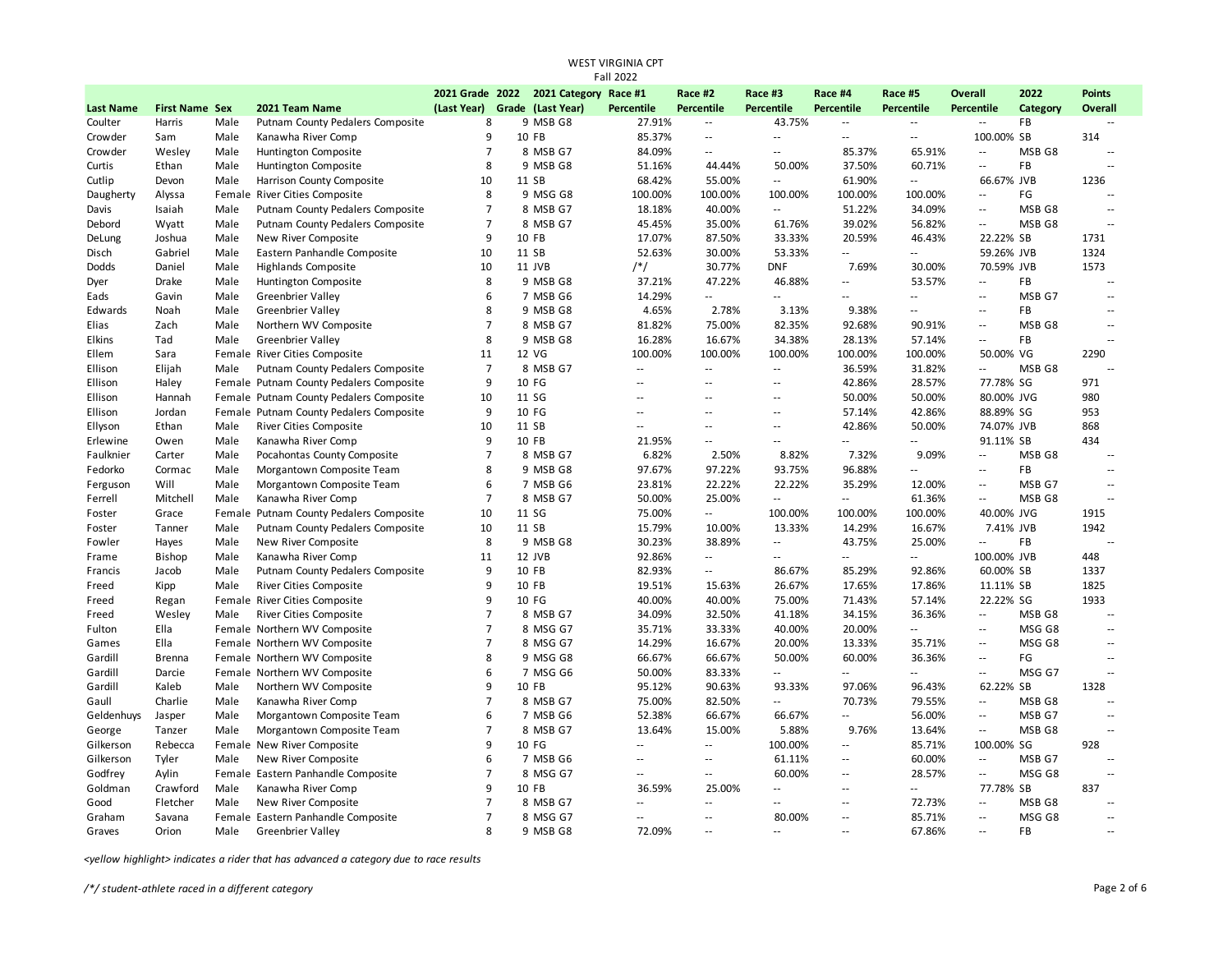| <b>Fall 2022</b> |                       |      |                                         |                               |  |                                       |                   |                                |                          |                          |                          |                             |           |                          |
|------------------|-----------------------|------|-----------------------------------------|-------------------------------|--|---------------------------------------|-------------------|--------------------------------|--------------------------|--------------------------|--------------------------|-----------------------------|-----------|--------------------------|
|                  |                       |      |                                         |                               |  | 2021 Grade 2022 2021 Category Race #1 |                   | Race #2                        | Race #3                  | Race #4                  | Race #5                  | Overall                     | 2022      | <b>Points</b>            |
| <b>Last Name</b> | <b>First Name Sex</b> |      | 2021 Team Name                          | (Last Year) Grade (Last Year) |  |                                       | <b>Percentile</b> | Percentile                     | Percentile               | Percentile               | Percentile               | <b>Percentile</b>           | Category  | Overall                  |
| Coulter          | Harris                | Male | Putnam County Pedalers Composite        | 8                             |  | 9 MSB G8                              | 27.91%            | $\sim$                         | 43.75%                   | $\sim$                   | $\overline{\phantom{a}}$ | $\overline{\phantom{a}}$    | FB        | $\sim$ $\sim$            |
| Crowder          | Sam                   | Male | Kanawha River Comp                      | 9                             |  | 10 FB                                 | 85.37%            | $\sim$                         | $\overline{a}$           | $\sim$ $\sim$            | Ξ.                       | 100.00% SB                  |           | 314                      |
| Crowder          | Wesley                | Male | Huntington Composite                    | $\overline{7}$                |  | 8 MSB G7                              | 84.09%            | $\sim$ $\sim$                  | $\overline{a}$           | 85.37%                   | 65.91%                   | $\overline{\phantom{a}}$    | MSB G8    | $\sim$                   |
| Curtis           | Ethan                 | Male | Huntington Composite                    | 8                             |  | 9 MSB G8                              | 51.16%            | 44.44%                         | 50.00%                   | 37.50%                   | 60.71%                   | $\sim$ $\sim$               | <b>FB</b> | $\sim$                   |
| Cutlip           | Devon                 | Male | Harrison County Composite               | 10                            |  | 11 SB                                 | 68.42%            | 55.00%                         | $\sim$                   | 61.90%                   | $\sim$                   | 66.67% JVB                  |           | 1236                     |
| Daugherty        | Alyssa                |      | Female River Cities Composite           | 8                             |  | 9 MSG G8                              | 100.00%           | 100.00%                        | 100.00%                  | 100.00%                  | 100.00%                  | $\sim$ $\sim$               | FG        | $\sim$ $\sim$            |
| Davis            | Isaiah                | Male | Putnam County Pedalers Composite        | $\overline{7}$                |  | 8 MSB G7                              | 18.18%            | 40.00%                         | $\sim$                   | 51.22%                   | 34.09%                   | $\overline{\phantom{a}}$    | MSB G8    | $\overline{\phantom{a}}$ |
| Debord           | Wyatt                 | Male | Putnam County Pedalers Composite        | $\overline{7}$                |  | 8 MSB G7                              | 45.45%            | 35.00%                         | 61.76%                   | 39.02%                   | 56.82%                   | $\sim$ $\sim$               | MSB G8    | $\sim$ $\sim$            |
| DeLung           | Joshua                | Male | New River Composite                     | 9                             |  | 10 FB                                 | 17.07%            | 87.50%                         | 33.33%                   | 20.59%                   | 46.43%                   | 22.22% SB                   |           | 1731                     |
| Disch            | Gabriel               | Male | Eastern Panhandle Composite             | 10                            |  | 11 SB                                 | 52.63%            | 30.00%                         | 53.33%                   | $\mathbb{Z}^2$           | н.                       | 59.26% JVB                  |           | 1324                     |
| Dodds            | Daniel                | Male | <b>Highlands Composite</b>              | 10                            |  | 11 JVB                                | $/*/$             | 30.77%                         | <b>DNF</b>               | 7.69%                    | 30.00%                   | 70.59% JVB                  |           | 1573                     |
| Dyer             | Drake                 | Male | Huntington Composite                    | 8                             |  | 9 MSB G8                              | 37.21%            | 47.22%                         | 46.88%                   | $\sim$                   | 53.57%                   | $\overline{\phantom{a}}$    | <b>FB</b> | $\overline{\phantom{a}}$ |
| Eads             | Gavin                 | Male | <b>Greenbrier Valley</b>                | 6                             |  | 7 MSB G6                              | 14.29%            | $\sim$                         | Ξ.                       | $\mathbb{Z}^2$           | Ξ.                       | $\overline{\phantom{a}}$    | MSB G7    | $\overline{\phantom{a}}$ |
| Edwards          | Noah                  | Male | <b>Greenbrier Valley</b>                | 8                             |  | 9 MSB G8                              | 4.65%             | 2.78%                          | 3.13%                    | 9.38%                    | $\overline{\phantom{a}}$ | $\sim$ $\sim$               | FB        | $\overline{a}$           |
| Elias            | Zach                  | Male | Northern WV Composite                   | $\overline{7}$                |  | 8 MSB G7                              | 81.82%            | 75.00%                         | 82.35%                   | 92.68%                   | 90.91%                   | $\sim$ $\sim$               | MSB G8    | $\sim$ $\sim$            |
| Elkins           | Tad                   | Male | <b>Greenbrier Valley</b>                | 8                             |  | 9 MSB G8                              | 16.28%            | 16.67%                         | 34.38%                   | 28.13%                   | 57.14%                   | $\sim$ $\sim$               | FB        | $\overline{a}$           |
| Ellem            | Sara                  |      | Female River Cities Composite           | 11                            |  | 12 VG                                 | 100.00%           | 100.00%                        | 100.00%                  | 100.00%                  | 100.00%                  | 50.00% VG                   |           | 2290                     |
| Ellison          | Elijah                | Male | Putnam County Pedalers Composite        | $\overline{7}$                |  | 8 MSB G7                              | $\overline{a}$    | $\sim$                         | $\sim$                   | 36.59%                   | 31.82%                   | $\sim$                      | MSB G8    | $\sim$                   |
| Ellison          | Haley                 |      | Female Putnam County Pedalers Composite | 9                             |  | 10 FG                                 | ц.                | $\overline{\phantom{a}}$       | $\sim$                   | 42.86%                   | 28.57%                   | 77.78% SG                   |           | 971                      |
| Ellison          | Hannah                |      | Female Putnam County Pedalers Composite | 10                            |  | 11 SG                                 | Ц,                | $\overline{a}$                 | $\sim$                   | 50.00%                   | 50.00%                   | 80.00% JVG                  |           | 980                      |
| Ellison          | Jordan                |      | Female Putnam County Pedalers Composite | 9                             |  | 10 FG                                 | Ξ.                | $\overline{a}$                 | $\sim$                   | 57.14%                   | 42.86%                   | 88.89% SG                   |           | 953                      |
| Ellyson          | Ethan                 | Male | <b>River Cities Composite</b>           | 10                            |  | 11 SB                                 | Ξ.                | $\sim$ $\sim$                  | $\overline{\phantom{a}}$ | 42.86%                   | 50.00%                   | 74.07% JVB                  |           | 868                      |
| Erlewine         | Owen                  | Male | Kanawha River Comp                      | $\mathbf{q}$                  |  | 10 FB                                 | 21.95%            | $\sim$ $\sim$                  | $\sim$                   | $\sim$                   | $\sim$                   | 91.11% SB                   |           | 434                      |
| Faulknier        | Carter                | Male | Pocahontas County Composite             | $\overline{7}$                |  | 8 MSB G7                              | 6.82%             | 2.50%                          | 8.82%                    | 7.32%                    | 9.09%                    | $\sim$ $-$                  | MSB G8    | $\sim$ $\sim$            |
| Fedorko          | Cormac                | Male | Morgantown Composite Team               | 8                             |  | 9 MSB G8                              | 97.67%            | 97.22%                         | 93.75%                   | 96.88%                   | $\overline{\phantom{a}}$ | $\sim$ $\sim$               | FB        | $\overline{\phantom{a}}$ |
| Ferguson         | Will                  | Male | Morgantown Composite Team               | 6                             |  | 7 MSB G6                              | 23.81%            | 22.22%                         | 22.22%                   | 35.29%                   | 12.00%                   | $\overline{\phantom{a}}$    | MSB G7    | $\sim$                   |
| Ferrell          | Mitchell              | Male | Kanawha River Comp                      | $\overline{7}$                |  | 8 MSB G7                              | 50.00%            | 25.00%                         | $\sim$                   | $\overline{\phantom{a}}$ | 61.36%                   | $\overline{\phantom{a}}$    | MSB G8    | $\sim$ $\sim$            |
| Foster           | Grace                 |      | Female Putnam County Pedalers Composite | 10                            |  | 11 SG                                 | 75.00%            | $\sim$                         | 100.00%                  | 100.00%                  | 100.00%                  | 40.00% JVG                  |           | 1915                     |
| Foster           | Tanner                | Male | Putnam County Pedalers Composite        | 10                            |  | 11 SB                                 | 15.79%            | 10.00%                         | 13.33%                   | 14.29%                   | 16.67%                   | 7.41% JVB                   |           | 1942                     |
| Fowler           | Hayes                 | Male | New River Composite                     | 8                             |  | 9 MSB G8                              | 30.23%            | 38.89%                         | $\sim$ $\sim$            | 43.75%                   | 25.00%                   | $\mathcal{L}^{\mathcal{L}}$ | FB        | $\sim$ $\sim$            |
| Frame            | <b>Bishop</b>         | Male | Kanawha River Comp                      | 11                            |  | 12 JVB                                | 92.86%            | $\sim$                         | $\overline{a}$           | $\overline{\phantom{a}}$ | Ξ.                       | 100.00% JVB                 |           | 448                      |
| Francis          | Jacob                 | Male | Putnam County Pedalers Composite        | 9                             |  | 10 FB                                 | 82.93%            | $\overline{\phantom{a}}$       | 86.67%                   | 85.29%                   | 92.86%                   | 60.00% SB                   |           | 1337                     |
| Freed            | Kipp                  | Male | River Cities Composite                  | 9                             |  | 10 FB                                 | 19.51%            | 15.63%                         | 26.67%                   | 17.65%                   | 17.86%                   | 11.11% SB                   |           | 1825                     |
| Freed            | Regan                 |      | Female River Cities Composite           | 9                             |  | 10 FG                                 | 40.00%            | 40.00%                         | 75.00%                   | 71.43%                   | 57.14%                   | 22.22% SG                   |           | 1933                     |
| Freed            | Wesley                | Male | <b>River Cities Composite</b>           | $\overline{7}$                |  | 8 MSB G7                              | 34.09%            | 32.50%                         | 41.18%                   | 34.15%                   | 36.36%                   | $\sim$ $\sim$               | MSB G8    | $\sim$                   |
| Fulton           | Ella                  |      | Female Northern WV Composite            | $\overline{7}$                |  | 8 MSG G7                              | 35.71%            | 33.33%                         | 40.00%                   | 20.00%                   | Щ.                       | $\sim$ $\sim$               | MSG G8    | $\sim$ $\sim$            |
| Games            | Ella                  |      | Female Northern WV Composite            | $\overline{7}$                |  | 8 MSG G7                              | 14.29%            | 16.67%                         | 20.00%                   | 13.33%                   | 35.71%                   | $\overline{\phantom{a}}$    | MSG G8    | $\overline{\phantom{a}}$ |
| Gardill          | <b>Brenna</b>         |      | Female Northern WV Composite            | 8                             |  | 9 MSG G8                              | 66.67%            | 66.67%                         | 50.00%                   | 60.00%                   | 36.36%                   | $\sim$ $\sim$               | FG        | $\overline{a}$           |
| Gardill          | Darcie                |      | Female Northern WV Composite            | 6                             |  | 7 MSG G6                              | 50.00%            | 83.33%                         | $\overline{a}$           | $\sim$                   | н.                       | $\overline{\phantom{a}}$    | MSG G7    | $\overline{\phantom{a}}$ |
| Gardill          | Kaleb                 | Male | Northern WV Composite                   | 9                             |  | 10 FB                                 | 95.12%            | 90.63%                         | 93.33%                   | 97.06%                   | 96.43%                   | 62.22% SB                   |           | 1328                     |
| Gaull            | Charlie               | Male | Kanawha River Comp                      | $\overline{7}$                |  | 8 MSB G7                              | 75.00%            | 82.50%                         | $\overline{\phantom{a}}$ | 70.73%                   | 79.55%                   | $\overline{\phantom{a}}$    | MSB G8    | $\overline{a}$           |
| Geldenhuys       | Jasper                | Male | Morgantown Composite Team               | 6                             |  | 7 MSB G6                              | 52.38%            | 66.67%                         | 66.67%                   | $\sim$                   | 56.00%                   | $\sim$                      | MSB G7    | $\overline{\phantom{a}}$ |
| George           | Tanzer                | Male | Morgantown Composite Team               | $\overline{7}$                |  | 8 MSB G7                              | 13.64%            | 15.00%                         | 5.88%                    | 9.76%                    | 13.64%                   | $\sim$                      | MSB G8    | $\overline{a}$           |
|                  |                       |      |                                         | 9                             |  | 10 FG                                 | Ξ.                | $\mathcal{L}_{\mathcal{A}}$    | 100.00%                  | $\overline{\phantom{a}}$ | 85.71%                   | 100.00% SG                  |           | 928                      |
| Gilkerson        | Rebecca               |      | Female New River Composite              |                               |  |                                       |                   |                                |                          | $\sim$                   |                          | $\mathcal{L}^{\mathcal{L}}$ |           | $\sim$ $\sim$            |
| Gilkerson        | Tyler                 | Male | New River Composite                     | 6<br>$\overline{7}$           |  | 7 MSB G6                              | $-$<br>Ц,         | $\sim$ $\sim$<br>$\sim$ $\sim$ | 61.11%                   | $\sim$ $\sim$            | 60.00%                   |                             | MSB G7    | $\overline{a}$           |
| Godfrey          | Aylin                 |      | Female Eastern Panhandle Composite      | 9                             |  | 8 MSG G7                              |                   |                                | 60.00%<br>$\sim$         | $\sim$ $\sim$            | 28.57%                   | $\overline{\phantom{a}}$    | MSG G8    |                          |
| Goldman          | Crawford              | Male | Kanawha River Comp                      | 7                             |  | 10 FB                                 | 36.59%<br>Ξ.      | 25.00%                         |                          |                          | н.                       | 77.78% SB                   |           | 837                      |
| Good             | Fletcher              | Male | New River Composite                     | $\overline{7}$                |  | 8 MSB G7                              |                   | $\mathbf{u}$                   | $\overline{a}$           | $\overline{\phantom{a}}$ | 72.73%                   | $\overline{\phantom{a}}$    | MSB G8    | $\overline{\phantom{a}}$ |
| Graham           | Savana                |      | Female Eastern Panhandle Composite      |                               |  | 8 MSG G7                              | Ξ.                | $\mathbf{u}$                   | 80.00%                   | $\mathbb{Z}^2$           | 85.71%                   | $\overline{\phantom{a}}$    | MSG G8    | $\overline{\phantom{a}}$ |
| Graves           | Orion                 | Male | <b>Greenbrier Valley</b>                | 8                             |  | 9 MSB G8                              | 72.09%            | $\sim$ $\sim$                  | $\overline{a}$           | $\sim$                   | 67.86%                   | $\sim$                      | FB        | $\sim$                   |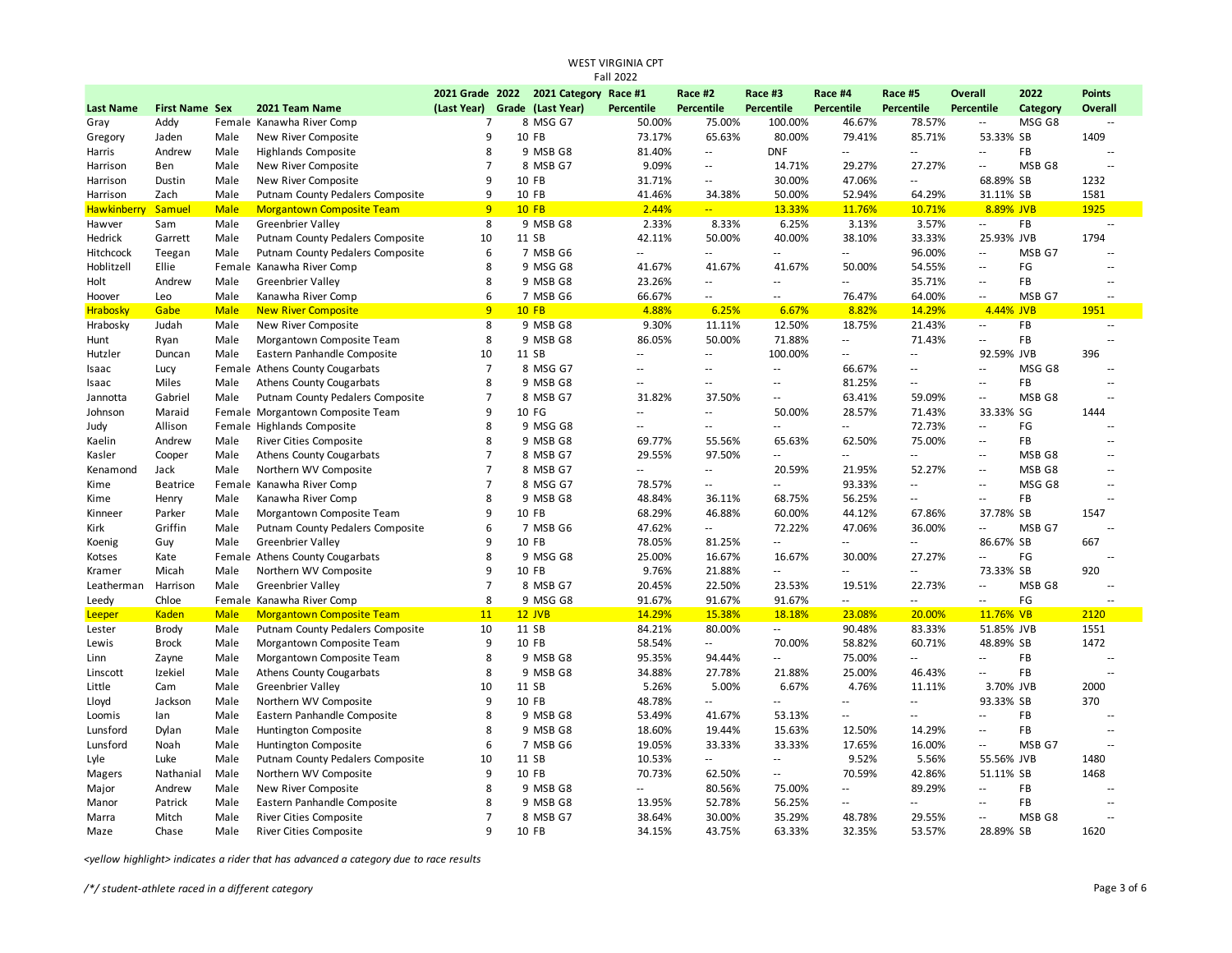| <b>Fall 2022</b> |                       |             |                                  |                               |  |                                       |                          |                             |                 |                             |                             |                          |           |                |
|------------------|-----------------------|-------------|----------------------------------|-------------------------------|--|---------------------------------------|--------------------------|-----------------------------|-----------------|-----------------------------|-----------------------------|--------------------------|-----------|----------------|
|                  |                       |             |                                  |                               |  | 2021 Grade 2022 2021 Category Race #1 |                          | Race #2                     | Race #3         | Race #4                     | Race #5                     | <b>Overall</b>           | 2022      | <b>Points</b>  |
| <b>Last Name</b> | <b>First Name Sex</b> |             | 2021 Team Name                   | (Last Year) Grade (Last Year) |  |                                       | <b>Percentile</b>        | Percentile                  | Percentile      | Percentile                  | Percentile                  | <b>Percentile</b>        | Category  | <b>Overall</b> |
| Gray             | Addy                  |             | Female Kanawha River Comp        | $\overline{7}$                |  | 8 MSG G7                              | 50.00%                   | 75.00%                      | 100.00%         | 46.67%                      | 78.57%                      | $\overline{\phantom{a}}$ | MSG G8    | $\sim$ $\sim$  |
| Gregory          | Jaden                 | Male        | New River Composite              | 9                             |  | 10 FB                                 | 73.17%                   | 65.63%                      | 80.00%          | 79.41%                      | 85.71%                      | 53.33% SB                |           | 1409           |
| Harris           | Andrew                | Male        | <b>Highlands Composite</b>       | 8                             |  | 9 MSB G8                              | 81.40%                   | $\mathcal{L}_{\mathcal{A}}$ | <b>DNF</b>      | $\mathcal{L}_{\mathcal{A}}$ | $\mathcal{L}^{\mathcal{L}}$ | Ξ.                       | <b>FB</b> | $\sim$         |
| Harrison         | Ben                   | Male        | New River Composite              | $\overline{7}$                |  | 8 MSB G7                              | 9.09%                    | $\sim$ $\sim$               | 14.71%          | 29.27%                      | 27.27%                      | Ξ.                       | MSB G8    | $\sim$         |
| Harrison         | Dustin                | Male        | New River Composite              | 9                             |  | 10 FB                                 | 31.71%                   | $\sim$                      | 30.00%          | 47.06%                      | $\sim$                      | 68.89% SB                |           | 1232           |
| Harrison         | Zach                  | Male        | Putnam County Pedalers Composite | 9                             |  | 10 FB                                 | 41.46%                   | 34.38%                      | 50.00%          | 52.94%                      | 64.29%                      | 31.11% SB                |           | 1581           |
| Hawkinberr       | Samuel                | <b>Male</b> | <b>Morgantown Composite Team</b> | 9                             |  | $10$ FB                               | 2.44%                    | $\mathbb{Z}$ .              | 13.33%          | 11.76%                      | 10.71%                      | 8.89% JVB                |           | 1925           |
| Hawver           | Sam                   | Male        | <b>Greenbrier Valley</b>         | 8                             |  | 9 MSB G8                              | 2.33%                    | 8.33%                       | 6.25%           | 3.13%                       | 3.57%                       | Ξ.                       | <b>FB</b> | Ξ.             |
| Hedrick          | Garrett               | Male        | Putnam County Pedalers Composite | 10                            |  | 11 SB                                 | 42.11%                   | 50.00%                      | 40.00%          | 38.10%                      | 33.33%                      | 25.93% JVB               |           | 1794           |
| Hitchcock        | Teegan                | Male        | Putnam County Pedalers Composite | 6                             |  | 7 MSB G6                              | $\sim$                   | $\sim$ $\sim$               | $\sim$          | $\overline{\phantom{a}}$    | 96.00%                      | $\overline{\phantom{a}}$ | MSB G7    | ц.             |
| Hoblitzell       | Ellie                 |             | Female Kanawha River Comp        | 8                             |  | 9 MSG G8                              | 41.67%                   | 41.67%                      | 41.67%          | 50.00%                      | 54.55%                      | $\sim$                   | FG        | ц.             |
| Holt             | Andrew                | Male        | <b>Greenbrier Valley</b>         | 8                             |  | 9 MSB G8                              | 23.26%                   | $\sim$                      | $\sim$          | $\sim$ $\sim$               | 35.71%                      | Ξ.                       | <b>FB</b> | $\sim$         |
| Hoover           | Leo                   | Male        | Kanawha River Comp               | 6                             |  | 7 MSB G6                              | 66.67%                   | $\sim$ $\sim$               | $\sim$          | 76.47%                      | 64.00%                      | Ξ.                       | MSB G7    | $\sim$         |
| Hrabosky         | Gabe                  | <b>Male</b> | <b>New River Composite</b>       | 9                             |  | <b>10 FB</b>                          | 4.88%                    | 6.25%                       | 6.67%           | 8.82%                       | 14.29%                      | 4.44% JVB                |           | 1951           |
| Hrabosky         | Judah                 | Male        | New River Composite              | 8                             |  | 9 MSB G8                              | 9.30%                    | 11.11%                      | 12.50%          | 18.75%                      | 21.43%                      | $\overline{\phantom{a}}$ | FB        | $\overline{a}$ |
| Hunt             | Ryan                  | Male        | Morgantown Composite Team        | 8                             |  | 9 MSB G8                              | 86.05%                   | 50.00%                      | 71.88%          | $\sim$                      | 71.43%                      | Ξ.                       | FB        | $\sim$         |
| Hutzler          | Duncan                | Male        | Eastern Panhandle Composite      | 10                            |  | 11 SB                                 | $\sim$ $\sim$            | $\sim$ $\sim$               | 100.00%         | $\sim$ $\sim$               | $\sim$ $\sim$               | 92.59% JVB               |           | 396            |
| Isaac            | Lucy                  |             | Female Athens County Cougarbats  | $\overline{7}$                |  | 8 MSG G7                              | $\sim$ $\sim$            | $\sim$ $\sim$               | $\mathcal{L} =$ | 66.67%                      | $\sim$ $\sim$               | u.                       | MSG G8    | $\sim$         |
| Isaac            | Miles                 | Male        | <b>Athens County Cougarbats</b>  | 8                             |  | 9 MSB G8                              | $\overline{\phantom{a}}$ | $\sim$ $\sim$               | Ξ.              | 81.25%                      | $\sim$                      | $\overline{a}$           | FB        | $\sim$         |
| Jannotta         | Gabriel               | Male        | Putnam County Pedalers Composite | $\overline{7}$                |  | 8 MSB G7                              | 31.82%                   | 37.50%                      | Ξ.              | 63.41%                      | 59.09%                      | $\sim$                   | MSB G8    | ц.             |
| Johnson          | Maraid                |             | Female Morgantown Composite Team | 9                             |  | 10 FG                                 | $\sim$ $\sim$            | $\sim$ $\sim$               | 50.00%          | 28.57%                      | 71.43%                      | 33.33% SG                |           | 1444           |
| Judy             | Allison               |             | Female Highlands Composite       | 8                             |  | 9 MSG G8                              | $\sim$ $\sim$            | $\sim$ $\sim$               | $\sim$          | $\sim$                      | 72.73%                      | $\overline{\phantom{a}}$ | FG        | $\sim$         |
| Kaelin           | Andrew                | Male        | River Cities Composite           | 8                             |  | 9 MSB G8                              | 69.77%                   | 55.56%                      | 65.63%          | 62.50%                      | 75.00%                      | $\sim$                   | FB        | $\sim$         |
| Kasler           | Cooper                | Male        | <b>Athens County Cougarbats</b>  | $\overline{7}$                |  | 8 MSB G7                              | 29.55%                   | 97.50%                      | $\sim$          | $\overline{\phantom{a}}$    | $\sim$                      | $\overline{\phantom{a}}$ | MSB G8    | $\sim$         |
| Kenamond         | Jack                  | Male        | Northern WV Composite            | $\overline{7}$                |  | 8 MSB G7                              | --                       | $\sim$                      | 20.59%          | 21.95%                      | 52.27%                      | $\sim$                   | MSB G8    | ц.             |
| Kime             | <b>Beatrice</b>       |             | Female Kanawha River Comp        | $\overline{7}$                |  | 8 MSG G7                              | 78.57%                   | $\sim$                      | Ξ.              | 93.33%                      | $\sim$                      | $\sim$                   | MSG G8    | ц.             |
| Kime             | Henry                 | Male        | Kanawha River Comp               | 8                             |  | 9 MSB G8                              | 48.84%                   | 36.11%                      | 68.75%          | 56.25%                      | $\sim$ $\sim$               | Ξ.                       | FB        | ц.             |
| Kinneer          | Parker                | Male        | Morgantown Composite Team        | 9                             |  | 10 FB                                 | 68.29%                   | 46.88%                      | 60.00%          | 44.12%                      | 67.86%                      | 37.78% SB                |           | 1547           |
| Kirk             | Griffin               | Male        | Putnam County Pedalers Composite | 6                             |  | 7 MSB G6                              | 47.62%                   | $\sim$                      | 72.22%          | 47.06%                      | 36.00%                      | ٠.                       | MSB G7    | $\overline{a}$ |
| Koenig           | Guy                   | Male        | <b>Greenbrier Valley</b>         | 9                             |  | 10 FB                                 | 78.05%                   | 81.25%                      | Ξ.              | $\overline{a}$              | $\sim$ $\sim$               | 86.67% SB                |           | 667            |
| Kotses           | Kate                  |             | Female Athens County Cougarbats  | 8                             |  | 9 MSG G8                              | 25.00%                   | 16.67%                      | 16.67%          | 30.00%                      | 27.27%                      | Ξ.                       | FG        |                |
| Kramer           | Micah                 | Male        | Northern WV Composite            | 9                             |  | 10 FB                                 | 9.76%                    | 21.88%                      | $\mathcal{L} =$ | $\sim$                      | $\mathcal{L}_{\mathcal{A}}$ | 73.33% SB                |           | 920            |
| Leatherman       | Harrison              | Male        | <b>Greenbrier Valley</b>         | $\overline{7}$                |  | 8 MSB G7                              | 20.45%                   | 22.50%                      | 23.53%          | 19.51%                      | 22.73%                      | Ξ.                       | MSB G8    | $\sim$         |
| Leedy            | Chloe                 |             | Female Kanawha River Comp        | 8                             |  | 9 MSG G8                              | 91.67%                   | 91.67%                      | 91.67%          | $\sim$                      | $\sim$                      | $\overline{\phantom{a}}$ | FG        | $\overline{a}$ |
| Leeper           | Kaden                 | <b>Male</b> | <b>Morgantown Composite Team</b> | 11                            |  | $12$ JVB                              | 14.29%                   | 15.38%                      | 18.18%          | 23.08%                      | 20.00%                      | 11.76% VB                |           | 2120           |
| Lester           | Brody                 | Male        | Putnam County Pedalers Composite | 10                            |  | 11 SB                                 | 84.21%                   | 80.00%                      | $\sim$          | 90.48%                      | 83.33%                      | 51.85% JVB               |           | 1551           |
| Lewis            | <b>Brock</b>          | Male        | Morgantown Composite Team        | 9                             |  | 10 FB                                 | 58.54%                   | $\mathbb{L}^{\mathbb{L}}$   | 70.00%          | 58.82%                      | 60.71%                      | 48.89% SB                |           | 1472           |
| Linn             | Zayne                 | Male        | Morgantown Composite Team        | 8                             |  | 9 MSB G8                              | 95.35%                   | 94.44%                      | $\mathcal{L} =$ | 75.00%                      | $\mathcal{L}_{\mathcal{A}}$ | u.                       | FB        | $\sim$         |
| Linscott         | Izekiel               | Male        | <b>Athens County Cougarbats</b>  | 8                             |  | 9 MSB G8                              | 34.88%                   | 27.78%                      | 21.88%          | 25.00%                      | 46.43%                      | Ξ.                       | FB        | ц,             |
| Little           | Cam                   | Male        | <b>Greenbrier Valley</b>         | 10                            |  | 11 SB                                 | 5.26%                    | 5.00%                       | 6.67%           | 4.76%                       | 11.11%                      | 3.70% JVB                |           | 2000           |
| Lloyd            | Jackson               | Male        | Northern WV Composite            | 9                             |  | 10 FB                                 | 48.78%                   | $\sim$                      | Ξ.              | $\overline{\phantom{a}}$    | $\sim$                      | 93.33% SB                |           | 370            |
| Loomis           | lan                   | Male        | Eastern Panhandle Composite      | 8                             |  | 9 MSB G8                              | 53.49%                   | 41.67%                      | 53.13%          | $\overline{a}$              | $\sim$                      | Ξ.                       | <b>FB</b> | ц,             |
| Lunsford         | Dylan                 | Male        | Huntington Composite             | 8                             |  | 9 MSB G8                              | 18.60%                   | 19.44%                      | 15.63%          | 12.50%                      | 14.29%                      | $\overline{\phantom{a}}$ | FB        | $\sim$         |
| Lunsford         | Noah                  | Male        | Huntington Composite             | 6                             |  | 7 MSB G6                              | 19.05%                   | 33.33%                      | 33.33%          | 17.65%                      | 16.00%                      | Ξ.                       | MSB G7    | ц,             |
| Lyle             | Luke                  | Male        | Putnam County Pedalers Composite | 10                            |  | 11 SB                                 | 10.53%                   | $\sim$ $\sim$               | $\sim$          | 9.52%                       | 5.56%                       | 55.56% JVB               |           | 1480           |
|                  | Nathanial             | Male        | Northern WV Composite            | 9                             |  | 10 FB                                 | 70.73%                   | 62.50%                      | $\sim$          | 70.59%                      | 42.86%                      | 51.11% SB                |           | 1468           |
| Magers           | Andrew                | Male        | New River Composite              | 8                             |  | 9 MSB G8                              | $\sim$ $\sim$            | 80.56%                      | 75.00%          | $\sim$                      | 89.29%                      | $\sim$                   | <b>FB</b> | $\sim$         |
| Major<br>Manor   | Patrick               | Male        | Eastern Panhandle Composite      | 8                             |  | 9 MSB G8                              | 13.95%                   | 52.78%                      | 56.25%          | щ.                          | $\mathbb{Z}^2$              | $\overline{\phantom{a}}$ | FB        | $\overline{a}$ |
|                  |                       |             |                                  | $\overline{7}$                |  |                                       |                          |                             |                 |                             |                             | $\sim$                   |           | $\sim$         |
| Marra            | Mitch                 | Male        | River Cities Composite           | 9                             |  | 8 MSB G7                              | 38.64%                   | 30.00%                      | 35.29%          | 48.78%                      | 29.55%                      |                          | MSB G8    |                |
| Maze             | Chase                 | Male        | River Cities Composite           |                               |  | 10 FB                                 | 34.15%                   | 43.75%                      | 63.33%          | 32.35%                      | 53.57%                      | 28.89% SB                |           | 1620           |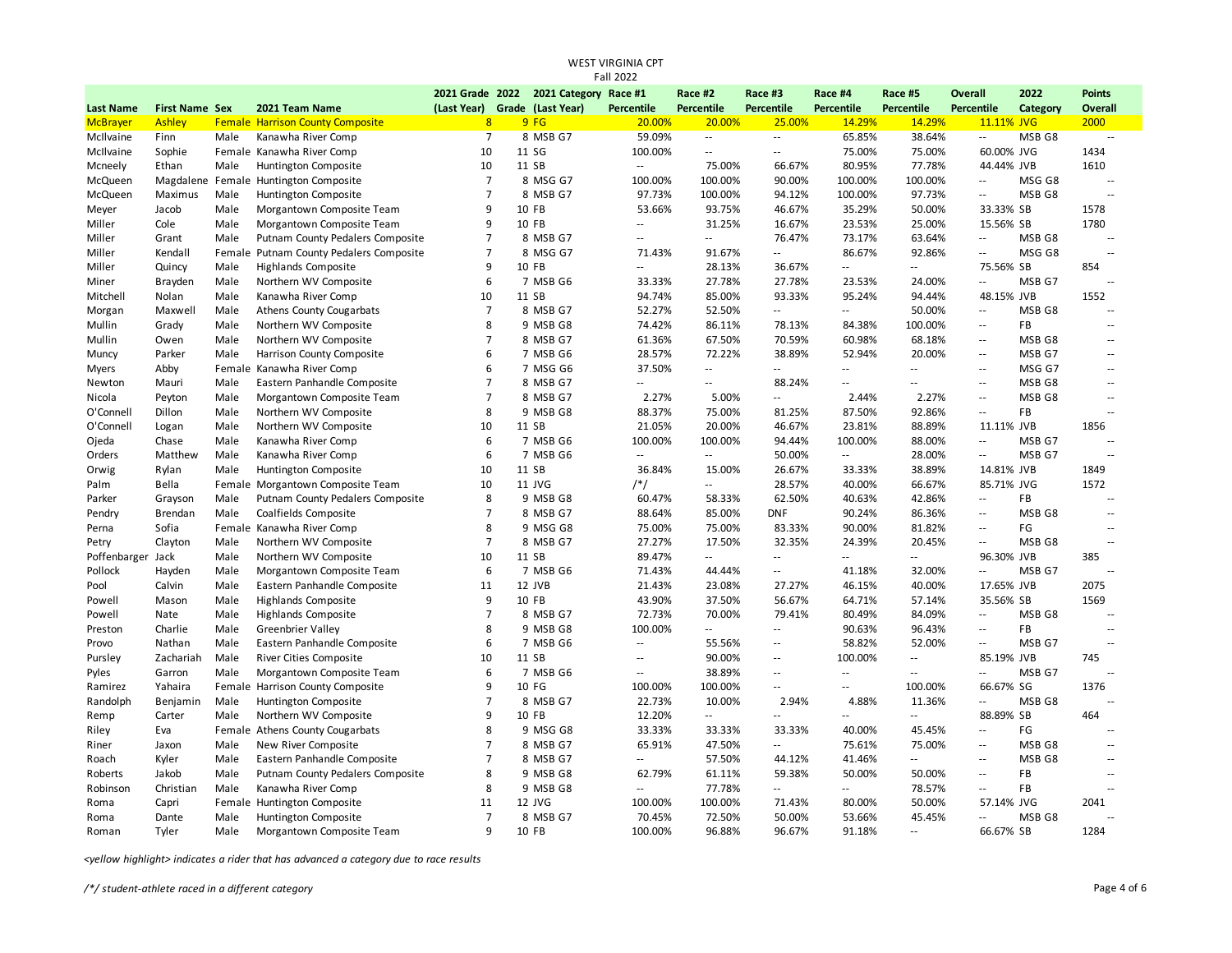| Fall 2022         |                       |      |                                         |                               |  |                                       |                             |                             |                          |                             |                |                          |          |                          |
|-------------------|-----------------------|------|-----------------------------------------|-------------------------------|--|---------------------------------------|-----------------------------|-----------------------------|--------------------------|-----------------------------|----------------|--------------------------|----------|--------------------------|
|                   |                       |      |                                         |                               |  | 2021 Grade 2022 2021 Category Race #1 |                             | Race #2                     | Race #3                  | Race #4                     | Race #5        | Overall                  | 2022     | <b>Points</b>            |
| <b>Last Name</b>  | <b>First Name Sex</b> |      | 2021 Team Name                          | (Last Year) Grade (Last Year) |  |                                       | Percentile                  | Percentile                  | Percentile               | Percentile                  | Percentile     | Percentile               | Category | Overall                  |
| <b>McBrayer</b>   | Ashley                |      | <b>Female Harrison County Composite</b> | 8 <sup>1</sup>                |  | 9FG                                   | 20.00%                      | 20.00%                      | 25.00%                   | 14.29%                      | 14.29%         | 11.11% JVG               |          | 2000                     |
| McIlvaine         | Finn                  | Male | Kanawha River Comp                      | $\overline{7}$                |  | 8 MSB G7                              | 59.09%                      | $\sim$                      | $\sim$                   | 65.85%                      | 38.64%         | $\overline{\phantom{a}}$ | MSB G8   | $\sim$                   |
| McIlvaine         | Sophie                |      | Female Kanawha River Comp               | 10                            |  | 11 SG                                 | 100.00%                     | $\sim$                      | $\overline{\phantom{a}}$ | 75.00%                      | 75.00%         | 60.00% JVG               |          | 1434                     |
| Mcneely           | Ethan                 | Male | Huntington Composite                    | 10                            |  | 11 SB                                 | $\mathcal{L}_{\mathcal{A}}$ | 75.00%                      | 66.67%                   | 80.95%                      | 77.78%         | 44.44% JVB               |          | 1610                     |
| McQueen           |                       |      | Magdalene Female Huntington Composite   | $\overline{7}$                |  | 8 MSG G7                              | 100.00%                     | 100.00%                     | 90.00%                   | 100.00%                     | 100.00%        | $\overline{\phantom{a}}$ | MSG G8   | $\overline{\phantom{a}}$ |
| McQueen           | Maximus               | Male | Huntington Composite                    | $\overline{7}$                |  | 8 MSB G7                              | 97.73%                      | 100.00%                     | 94.12%                   | 100.00%                     | 97.73%         | $\ddotsc$                | MSB G8   | $\sim$                   |
| Meyer             | Jacob                 | Male | Morgantown Composite Team               | 9                             |  | 10 FB                                 | 53.66%                      | 93.75%                      | 46.67%                   | 35.29%                      | 50.00%         | 33.33% SB                |          | 1578                     |
| Miller            | Cole                  | Male | Morgantown Composite Team               | 9                             |  | 10 FB                                 | $\mathcal{L}_{\mathcal{A}}$ | 31.25%                      | 16.67%                   | 23.53%                      | 25.00%         | 15.56% SB                |          | 1780                     |
| Miller            | Grant                 | Male | Putnam County Pedalers Composite        | $\overline{7}$                |  | 8 MSB G7                              | $\sim$ $\sim$               | $\sim$ $\sim$               | 76.47%                   | 73.17%                      | 63.64%         | $\overline{\phantom{a}}$ | MSB G8   | $\sim$                   |
| Miller            | Kendall               |      | Female Putnam County Pedalers Composite | $\overline{7}$                |  | 8 MSG G7                              | 71.43%                      | 91.67%                      | щ.                       | 86.67%                      | 92.86%         | $\overline{\phantom{a}}$ | MSG G8   | $\sim$                   |
| Miller            | Quincy                | Male | <b>Highlands Composite</b>              | 9                             |  | 10 FB                                 | $\sim$ $\sim$               | 28.13%                      | 36.67%                   | $\sim$                      | ω.             | 75.56% SB                |          | 854                      |
| Miner             | Brayden               | Male | Northern WV Composite                   | 6                             |  | 7 MSB G6                              | 33.33%                      | 27.78%                      | 27.78%                   | 23.53%                      | 24.00%         | $\ddotsc$                | MSB G7   | $\sim$                   |
| Mitchell          | Nolan                 | Male | Kanawha River Comp                      | 10                            |  | 11 SB                                 | 94.74%                      | 85.00%                      | 93.33%                   | 95.24%                      | 94.44%         | 48.15% JVB               |          | 1552                     |
| Morgan            | Maxwell               | Male | <b>Athens County Cougarbats</b>         | $\overline{7}$                |  | 8 MSB G7                              | 52.27%                      | 52.50%                      | $\overline{\phantom{a}}$ | $\sim$                      | 50.00%         | $\sim$ $\sim$            | MSB G8   | $\sim$                   |
| Mullin            | Grady                 | Male | Northern WV Composite                   | 8                             |  | 9 MSB G8                              | 74.42%                      | 86.11%                      | 78.13%                   | 84.38%                      | 100.00%        | $\overline{a}$           | FB       | $\sim$                   |
| Mullin            | Owen                  | Male | Northern WV Composite                   | $\overline{7}$                |  | 8 MSB G7                              | 61.36%                      | 67.50%                      | 70.59%                   | 60.98%                      | 68.18%         | $\sim$ $\sim$            | MSB G8   | $\sim$ $\sim$            |
| Muncy             | Parker                | Male | Harrison County Composite               | 6                             |  | 7 MSB G6                              | 28.57%                      | 72.22%                      | 38.89%                   | 52.94%                      | 20.00%         | $\overline{\phantom{a}}$ | MSB G7   | $\sim$                   |
| Myers             | Abby                  |      | Female Kanawha River Comp               | 6                             |  | 7 MSG G6                              | 37.50%                      | $\sim$                      | Ξ.                       | Ξ.                          | Щ.             | $\overline{\phantom{a}}$ | MSG G7   | $\sim$ $\sim$            |
| Newton            | Mauri                 | Male | Eastern Panhandle Composite             | $\overline{7}$                |  | 8 MSB G7                              | $\sim$                      | $\sim$ $\sim$               | 88.24%                   | $\mathcal{L}_{\mathcal{A}}$ | $\mathbf{u}$   | $\sim$ $\sim$            | MSB G8   | $\sim$ $\sim$            |
| Nicola            | Peyton                | Male | Morgantown Composite Team               | $\overline{7}$                |  | 8 MSB G7                              | 2.27%                       | 5.00%                       | $\overline{\phantom{a}}$ | 2.44%                       | 2.27%          | $\overline{a}$           | MSB G8   | $\sim$ $\sim$            |
| O'Connell         | Dillon                | Male | Northern WV Composite                   | 8                             |  | 9 MSB G8                              | 88.37%                      | 75.00%                      | 81.25%                   | 87.50%                      | 92.86%         | $\overline{a}$           | FB       | $\sim$                   |
| O'Connell         | Logan                 | Male | Northern WV Composite                   | 10                            |  | 11 SB                                 | 21.05%                      | 20.00%                      | 46.67%                   | 23.81%                      | 88.89%         | 11.11% JVB               |          | 1856                     |
| Ojeda             | Chase                 | Male | Kanawha River Comp                      | 6                             |  | 7 MSB G6                              | 100.00%                     | 100.00%                     | 94.44%                   | 100.00%                     | 88.00%         | $\sim$ $\sim$            | MSB G7   | $\sim$                   |
| Orders            | Matthew               | Male | Kanawha River Comp                      | 6                             |  | 7 MSB G6                              | $\sim$                      | $\sim$                      | 50.00%                   | $\sim$                      | 28.00%         | $\overline{\phantom{a}}$ | MSB G7   | $\overline{\phantom{a}}$ |
| Orwig             | Rylan                 | Male | Huntington Composite                    | 10                            |  | 11 SB                                 | 36.84%                      | 15.00%                      | 26.67%                   | 33.33%                      | 38.89%         | 14.81% JVB               |          | 1849                     |
| Palm              | Bella                 |      | Female Morgantown Composite Team        | 10                            |  | 11 JVG                                | /*/                         | $\sim$ $\sim$               | 28.57%                   | 40.00%                      | 66.67%         | 85.71% JVG               |          | 1572                     |
| Parker            | Grayson               | Male | Putnam County Pedalers Composite        | 8                             |  | 9 MSB G8                              | 60.47%                      | 58.33%                      | 62.50%                   | 40.63%                      | 42.86%         | $\overline{\phantom{a}}$ | FB       | $\sim$                   |
| Pendry            | Brendan               | Male | Coalfields Composite                    | $\overline{7}$                |  | 8 MSB G7                              | 88.64%                      | 85.00%                      | <b>DNF</b>               | 90.24%                      | 86.36%         | $\overline{a}$           | MSB G8   | $\sim$                   |
| Perna             | Sofia                 |      | Female Kanawha River Comp               | 8                             |  | 9 MSG G8                              | 75.00%                      | 75.00%                      | 83.33%                   | 90.00%                      | 81.82%         | $\overline{\phantom{a}}$ | FG       | $\sim$                   |
| Petry             | Clayton               | Male | Northern WV Composite                   | $\overline{7}$                |  | 8 MSB G7                              | 27.27%                      | 17.50%                      | 32.35%                   | 24.39%                      | 20.45%         | ä.                       | MSB G8   | $\sim$                   |
| Poffenbarger Jack |                       | Male | Northern WV Composite                   | 10                            |  | 11 SB                                 | 89.47%                      | $\mathcal{L}_{\mathcal{A}}$ | Ξ.                       | $\mathcal{L}_{\mathcal{A}}$ | $\sim$         | 96.30% JVB               |          | 385                      |
| Pollock           | Hayden                | Male | Morgantown Composite Team               | 6                             |  | 7 MSB G6                              | 71.43%                      | 44.44%                      | $\overline{\phantom{a}}$ | 41.18%                      | 32.00%         | $\overline{\phantom{a}}$ | MSB G7   | $\overline{\phantom{a}}$ |
| Pool              | Calvin                | Male | Eastern Panhandle Composite             | 11                            |  | 12 JVB                                | 21.43%                      | 23.08%                      | 27.27%                   | 46.15%                      | 40.00%         | 17.65% JVB               |          | 2075                     |
| Powell            | Mason                 | Male | <b>Highlands Composite</b>              | 9                             |  | 10 FB                                 | 43.90%                      | 37.50%                      | 56.67%                   | 64.71%                      | 57.14%         | 35.56% SB                |          | 1569                     |
| Powell            | Nate                  | Male | <b>Highlands Composite</b>              | $\overline{7}$                |  | 8 MSB G7                              | 72.73%                      | 70.00%                      | 79.41%                   | 80.49%                      | 84.09%         | $\ddotsc$                | MSB G8   | $\sim$                   |
| Preston           | Charlie               | Male | <b>Greenbrier Valley</b>                | 8                             |  | 9 MSB G8                              | 100.00%                     | Ξ.                          | Ξ.                       | 90.63%                      | 96.43%         | $\ddotsc$                | FB       | $\sim$ $\sim$            |
| Provo             | Nathan                | Male | Eastern Panhandle Composite             | $6\phantom{1}6$               |  | 7 MSB G6                              | $\overline{\phantom{a}}$    | 55.56%                      | $\overline{\phantom{a}}$ | 58.82%                      | 52.00%         | $\overline{a}$           | MSB G7   | $\ddotsc$                |
| Pursley           | Zachariah             | Male | <b>River Cities Composite</b>           | 10                            |  | 11 SB                                 | $\sim$ $\sim$               | 90.00%                      | ٠.                       | 100.00%                     | щ.             | 85.19% JVB               |          | 745                      |
| Pyles             | Garron                | Male | Morgantown Composite Team               | 6                             |  | 7 MSB G6                              | $\sim$                      | 38.89%                      | Ξ.                       | $\sim$                      | $\sim$ $\sim$  | ä.                       | MSB G7   | $\sim$                   |
| Ramirez           | Yahaira               |      | Female Harrison County Composite        | 9                             |  | 10 FG                                 | 100.00%                     | 100.00%                     | цц                       | $\mathcal{L}_{\mathcal{A}}$ | 100.00%        | 66.67% SG                |          | 1376                     |
|                   |                       |      |                                         | $\overline{7}$                |  | 8 MSB G7                              | 22.73%                      | 10.00%                      | 2.94%                    | 4.88%                       | 11.36%         | $\overline{a}$           | MSB G8   | $\sim$                   |
| Randolph          | Benjamin              | Male | Huntington Composite                    | 9                             |  | 10 FB                                 | 12.20%                      | $\sim$ $\sim$               | $\sim$                   | $\overline{\phantom{a}}$    | $\overline{a}$ | 88.89% SB                |          | 464                      |
| Remp              | Carter                | Male | Northern WV Composite                   | 8                             |  |                                       |                             |                             | 33.33%                   | 40.00%                      |                | $\sim$ $\sim$            | FG       |                          |
| Riley             | Eva                   |      | Female Athens County Cougarbats         |                               |  | 9 MSG G8                              | 33.33%                      | 33.33%                      |                          |                             | 45.45%         |                          |          |                          |
| Riner             | Jaxon                 | Male | New River Composite                     | $\overline{7}$                |  | 8 MSB G7                              | 65.91%                      | 47.50%                      | Щ.                       | 75.61%                      | 75.00%         | $\sim$ $\sim$            | MSB G8   | $\sim$ $\sim$            |
| Roach             | Kyler                 | Male | Eastern Panhandle Composite             | $\overline{7}$                |  | 8 MSB G7                              | $\sim$ $\sim$               | 57.50%                      | 44.12%                   | 41.46%                      | $-1$           | $\sim$ $\sim$            | MSB G8   | $\sim$                   |
| Roberts           | Jakob                 | Male | Putnam County Pedalers Composite        | 8                             |  | 9 MSB G8                              | 62.79%                      | 61.11%                      | 59.38%                   | 50.00%                      | 50.00%         | $\overline{\phantom{a}}$ | FB       | $\sim$                   |
| Robinson          | Christian             | Male | Kanawha River Comp                      | 8                             |  | 9 MSB G8                              | $\sim$ $\sim$               | 77.78%                      | Щ.                       | $\mathcal{L}_{\mathcal{A}}$ | 78.57%         | $\mathbb{Z}^2$           | FB       | $\sim$                   |
| Roma              | Capri                 |      | Female Huntington Composite             | 11                            |  | 12 JVG                                | 100.00%                     | 100.00%                     | 71.43%                   | 80.00%                      | 50.00%         | 57.14% JVG               |          | 2041                     |
| Roma              | Dante                 | Male | Huntington Composite                    | $\overline{7}$                |  | 8 MSB G7                              | 70.45%                      | 72.50%                      | 50.00%                   | 53.66%                      | 45.45%         | ä.                       | MSB G8   | $\sim$                   |
| Roman             | Tyler                 | Male | Morgantown Composite Team               | 9                             |  | 10 FB                                 | 100.00%                     | 96.88%                      | 96.67%                   | 91.18%                      | $-1$           | 66.67% SB                |          | 1284                     |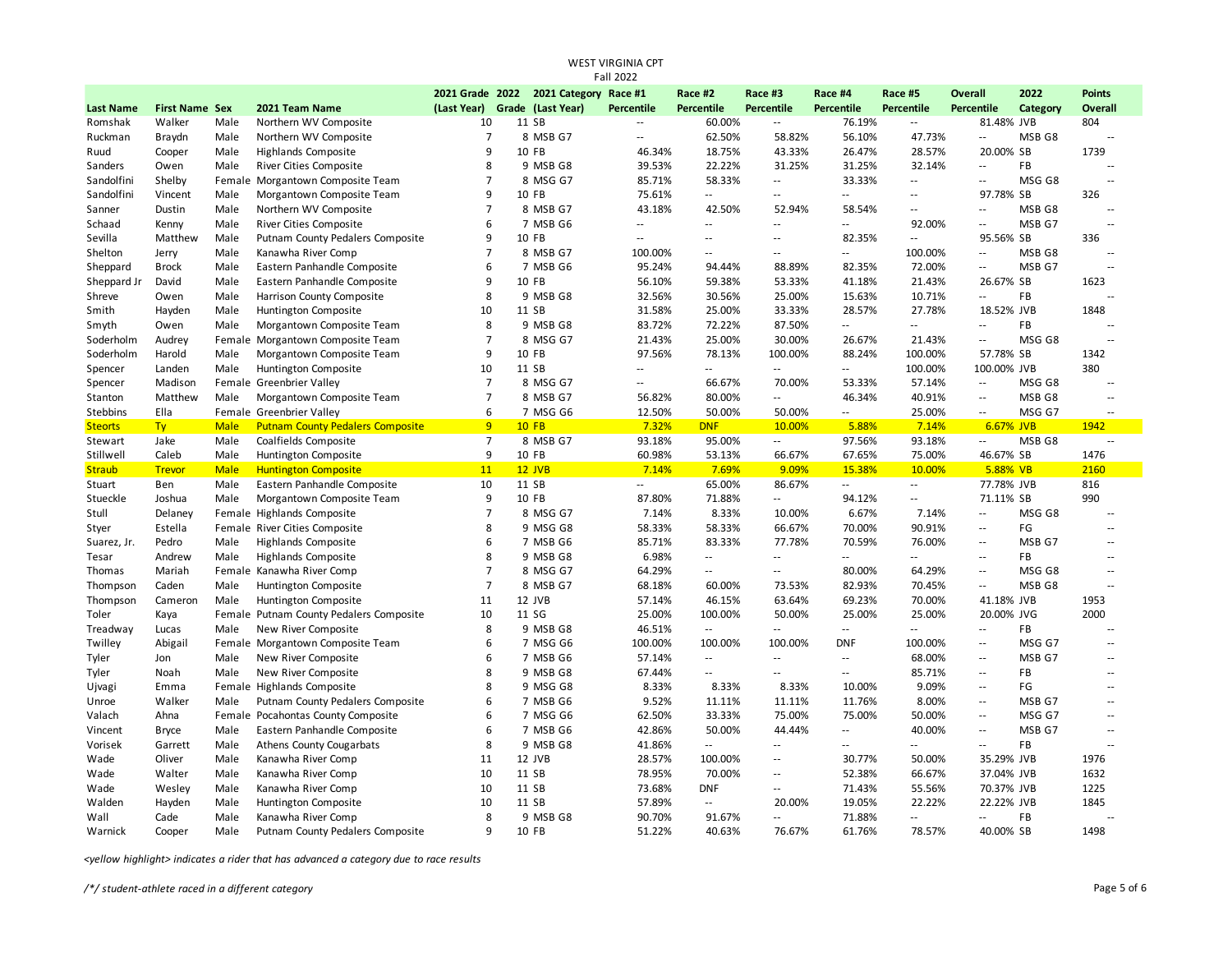| <b>Fall 2022</b> |                       |      |                                         |                 |  |                       |                          |                             |                          |                             |                             |                          |           |                             |
|------------------|-----------------------|------|-----------------------------------------|-----------------|--|-----------------------|--------------------------|-----------------------------|--------------------------|-----------------------------|-----------------------------|--------------------------|-----------|-----------------------------|
|                  |                       |      |                                         | 2021 Grade 2022 |  | 2021 Category Race #1 |                          | Race #2                     | Race #3                  | Race #4                     | Race #5                     | <b>Overall</b>           | 2022      | <b>Points</b>               |
| <b>Last Name</b> | <b>First Name Sex</b> |      | 2021 Team Name                          | (Last Year)     |  | Grade (Last Year)     | <b>Percentile</b>        | Percentile                  | <b>Percentile</b>        | Percentile                  | Percentile                  | <b>Percentile</b>        | Category  | Overall                     |
| Romshak          | Walker                | Male | Northern WV Composite                   | 10              |  | 11 SB                 | $\sim$                   | 60.00%                      | $\sim$ $\sim$            | 76.19%                      | $\sim$ $\sim$               | 81.48% JVB               |           | 804                         |
| Ruckman          | Braydn                | Male | Northern WV Composite                   | $\overline{7}$  |  | 8 MSB G7              | $\overline{\phantom{a}}$ | 62.50%                      | 58.82%                   | 56.10%                      | 47.73%                      | Ξ.                       | MSB G8    | $\overline{\phantom{a}}$    |
| Ruud             | Cooper                | Male | Highlands Composite                     | 9               |  | 10 FB                 | 46.34%                   | 18.75%                      | 43.33%                   | 26.47%                      | 28.57%                      | 20.00% SB                |           | 1739                        |
| Sanders          | Owen                  | Male | River Cities Composite                  | 8               |  | 9 MSB G8              | 39.53%                   | 22.22%                      | 31.25%                   | 31.25%                      | 32.14%                      | Ξ.                       | FB        | $\sim$                      |
| Sandolfini       | Shelby                |      | Female Morgantown Composite Team        | $\overline{7}$  |  | 8 MSG G7              | 85.71%                   | 58.33%                      | $\overline{\phantom{a}}$ | 33.33%                      | $\sim$ $\sim$               | Ξ.                       | MSG G8    | $\sim$ $\sim$               |
| Sandolfini       | Vincent               | Male | Morgantown Composite Team               | 9               |  | 10 FB                 | 75.61%                   | $\sim$ $\sim$               | Ξ.                       | $\mathbb{Z}^{\mathbb{Z}}$   | $\sim$ $\sim$               | 97.78% SB                |           | 326                         |
| Sanner           | Dustin                | Male | Northern WV Composite                   | $\overline{7}$  |  | 8 MSB G7              | 43.18%                   | 42.50%                      | 52.94%                   | 58.54%                      | $\ddotsc$                   | Ξ.                       | MSB G8    | $\sim$                      |
| Schaad           | Kenny                 | Male | <b>River Cities Composite</b>           | 6               |  | 7 MSB G6              | $\overline{\phantom{a}}$ | $\overline{\phantom{a}}$    | Ξ.                       | $\sim$                      | 92.00%                      | $\sim$                   | MSB G7    | $\sim$                      |
| Sevilla          | Matthew               | Male | Putnam County Pedalers Composite        | 9               |  | 10 FB                 | $\sim$ $\sim$            | $\sim$ $\sim$               | $\overline{\phantom{a}}$ | 82.35%                      | $\sim$                      | 95.56% SB                |           | 336                         |
| Shelton          | Jerry                 | Male | Kanawha River Comp                      | $\overline{7}$  |  | 8 MSB G7              | 100.00%                  | $\sim$ $\sim$               | $\sim$ $\sim$            | $\sim$ $\sim$               | 100.00%                     | Ξ.                       | MSB G8    | $\sim$ $\sim$               |
| Sheppard         | <b>Brock</b>          | Male | Eastern Panhandle Composite             | 6               |  | 7 MSB G6              | 95.24%                   | 94.44%                      | 88.89%                   | 82.35%                      | 72.00%                      | $\sim$                   | MSB G7    | $\sim$                      |
| Sheppard Jr      | David                 | Male | Eastern Panhandle Composite             | 9               |  | 10 FB                 | 56.10%                   | 59.38%                      | 53.33%                   | 41.18%                      | 21.43%                      | 26.67% SB                |           | 1623                        |
| Shreve           | Owen                  | Male | Harrison County Composite               | 8               |  | 9 MSB G8              | 32.56%                   | 30.56%                      | 25.00%                   | 15.63%                      | 10.71%                      | Ξ.                       | <b>FB</b> | $\sim$                      |
| Smith            | Hayden                | Male | Huntington Composite                    | 10              |  | 11 SB                 | 31.58%                   | 25.00%                      | 33.33%                   | 28.57%                      | 27.78%                      | 18.52% JVB               |           | 1848                        |
| Smyth            | Owen                  | Male | Morgantown Composite Team               | 8               |  | 9 MSB G8              | 83.72%                   | 72.22%                      | 87.50%                   | $\mathcal{L}^{\mathcal{L}}$ | $\mathcal{L}_{\mathcal{A}}$ | u.                       | FB        | $\overline{\phantom{a}}$    |
| Soderholm        | Audrey                |      | Female Morgantown Composite Team        | $\overline{7}$  |  | 8 MSG G7              | 21.43%                   | 25.00%                      | 30.00%                   | 26.67%                      | 21.43%                      | Ξ.                       | MSG G8    | $\sim$                      |
| Soderholm        | Harold                | Male | Morgantown Composite Team               | 9               |  | 10 FB                 | 97.56%                   | 78.13%                      | 100.00%                  | 88.24%                      | 100.00%                     | 57.78% SB                |           | 1342                        |
| Spencer          | Landen                | Male | Huntington Composite                    | 10              |  | 11 SB                 | $\sim$ $\sim$            | $\sim$ $\sim$               | $\sim$                   | $\sim$ $\sim$               | 100.00%                     | 100.00% JVB              |           | 380                         |
| Spencer          | Madison               |      | Female Greenbrier Valley                | $\overline{7}$  |  | 8 MSG G7              | $\overline{\phantom{a}}$ | 66.67%                      | 70.00%                   | 53.33%                      | 57.14%                      | $\ddotsc$                | MSG G8    | $\overline{\phantom{a}}$    |
| Stanton          | Matthew               | Male | Morgantown Composite Team               | $\overline{7}$  |  | 8 MSB G7              | 56.82%                   | 80.00%                      | щ.                       | 46.34%                      | 40.91%                      | ٠.                       | MSB G8    | $\ddotsc$                   |
| Stebbins         | Ella                  |      | Female Greenbrier Valley                | 6               |  | 7 MSG G6              | 12.50%                   | 50.00%                      | 50.00%                   | $\mathbb{Z}^{\mathbb{Z}}$   | 25.00%                      | $\sim$ $\sim$            | MSG G7    |                             |
| <b>Steorts</b>   | Ty                    | Male | <b>Putnam County Pedalers Composite</b> | 9               |  | <b>10 FB</b>          | 7.32%                    | <b>DNF</b>                  | 10.00%                   | 5.88%                       | 7.14%                       | 6.67% JVB                |           | 1942                        |
| Stewart          | Jake                  | Male | Coalfields Composite                    | $\overline{7}$  |  | 8 MSB G7              | 93.18%                   | 95.00%                      | $\sim$                   | 97.56%                      | 93.18%                      | Ξ.                       | MSB G8    | $\sim$                      |
| Stillwell        | Caleb                 | Male | Huntington Composite                    | 9               |  | 10 FB                 | 60.98%                   | 53.13%                      | 66.67%                   | 67.65%                      | 75.00%                      | 46.67% SB                |           | 1476                        |
| <b>Straub</b>    | <b>Trevor</b>         | Male | <b>Huntington Composite</b>             | 11              |  | $12$ JVB              | 7.14%                    | 7.69%                       | 9.09%                    | 15.38%                      | 10.00%                      | 5.88% VB                 |           | 2160                        |
| Stuart           | Ben                   | Male | Eastern Panhandle Composite             | 10              |  | 11 SB                 | $\overline{\phantom{a}}$ | 65.00%                      | 86.67%                   | $\sim$                      | $\sim$                      | 77.78% JVB               |           | 816                         |
| Stueckle         | Joshua                | Male | Morgantown Composite Team               | 9               |  | 10 FB                 | 87.80%                   | 71.88%                      | Ξ.                       | 94.12%                      | $\sim$                      | 71.11% SB                |           | 990                         |
| Stull            | Delaney               |      | Female Highlands Composite              | $\overline{7}$  |  | 8 MSG G7              | 7.14%                    | 8.33%                       | 10.00%                   | 6.67%                       | 7.14%                       | ٠.                       | MSG G8    | $\sim$                      |
| Styer            | Estella               |      | Female River Cities Composite           | 8               |  | 9 MSG G8              | 58.33%                   | 58.33%                      | 66.67%                   | 70.00%                      | 90.91%                      | $\overline{\phantom{a}}$ | FG        | $\sim$                      |
| Suarez, Jr.      | Pedro                 | Male | Highlands Composite                     | 6               |  | 7 MSB G6              | 85.71%                   | 83.33%                      | 77.78%                   | 70.59%                      | 76.00%                      | Ξ.                       | MSB G7    | $\sim$                      |
| Tesar            | Andrew                | Male | <b>Highlands Composite</b>              | 8               |  | 9 MSB G8              | 6.98%                    | $\sim$                      | Ξ.                       | $\sim$                      | Ξ.                          | Ξ.                       | FB        | $\ddotsc$                   |
| Thomas           | Mariah                |      | Female Kanawha River Comp               | $\overline{7}$  |  | 8 MSG G7              | 64.29%                   | $\sim$ $\sim$               | $\mathbb{L}$             | 80.00%                      | 64.29%                      | u.                       | MSG G8    | $\sim$ $\sim$               |
| Thompson         | Caden                 | Male | Huntington Composite                    | $\overline{7}$  |  | 8 MSB G7              | 68.18%                   | 60.00%                      | 73.53%                   | 82.93%                      | 70.45%                      | Ξ.                       | MSB G8    | $\sim$                      |
| Thompson         | Cameron               | Male | Huntington Composite                    | 11              |  | 12 JVB                | 57.14%                   | 46.15%                      | 63.64%                   | 69.23%                      | 70.00%                      | 41.18% JVB               |           | 1953                        |
| Toler            | Kaya                  |      | Female Putnam County Pedalers Composite | 10              |  | 11 SG                 | 25.00%                   | 100.00%                     | 50.00%                   | 25.00%                      | 25.00%                      | 20.00% JVG               |           | 2000                        |
| Treadway         | Lucas                 | Male | New River Composite                     | 8               |  | 9 MSB G8              | 46.51%                   | $\sim$                      | $\overline{\phantom{a}}$ | Ξ.                          | $\mathcal{L}_{\mathcal{A}}$ | Ξ.                       | FB        | $\overline{\phantom{a}}$    |
| Twilley          | Abigail               |      | Female Morgantown Composite Team        | 6               |  | 7 MSG G6              | 100.00%                  | 100.00%                     | 100.00%                  | <b>DNF</b>                  | 100.00%                     | ц,                       | MSG G7    | $\sim$                      |
| Tyler            | Jon                   | Male | New River Composite                     | 6               |  | 7 MSB G6              | 57.14%                   | $\sim$                      | $\sim$ $\sim$            | $\overline{\phantom{a}}$    | 68.00%                      | $\sim$ $\sim$            | MSB G7    | $\sim$                      |
| Tyler            | Noah                  | Male | New River Composite                     | 8               |  | 9 MSB G8              | 67.44%                   | $\sim$                      | $\overline{\phantom{a}}$ | $\mathcal{L}_{\mathcal{A}}$ | 85.71%                      | Ξ.                       | <b>FB</b> | $\sim$                      |
| Ujvagi           | Emma                  |      | Female Highlands Composite              | 8               |  | 9 MSG G8              | 8.33%                    | 8.33%                       | 8.33%                    | 10.00%                      | 9.09%                       | $\overline{a}$           | FG        | $\overline{a}$              |
| Unroe            | Walker                | Male | Putnam County Pedalers Composite        | 6               |  | 7 MSB G6              | 9.52%                    | 11.11%                      | 11.11%                   | 11.76%                      | 8.00%                       | $\sim$ $\sim$            | MSB G7    | $\mathcal{L}_{\mathcal{A}}$ |
| Valach           | Ahna                  |      | Female Pocahontas County Composite      | 6               |  | 7 MSG G6              | 62.50%                   | 33.33%                      | 75.00%                   | 75.00%                      | 50.00%                      | $\overline{a}$           | MSG G7    | $\sim$                      |
| Vincent          | <b>Bryce</b>          | Male | Eastern Panhandle Composite             | 6               |  | 7 MSB G6              | 42.86%                   | 50.00%                      | 44.44%                   | $\sim$ $\sim$               | 40.00%                      | $\sim$                   | MSB G7    | $\sim$                      |
| Vorisek          | Garrett               | Male | <b>Athens County Cougarbats</b>         | 8               |  | 9 MSB G8              | 41.86%                   | $\mathcal{L}_{\mathcal{A}}$ | Ξ.                       | $\overline{a}$              | $\sim$ $\sim$               | $\ddot{\phantom{a}}$     | FB        | $\sim$ $\sim$               |
| Wade             | Oliver                | Male | Kanawha River Comp                      | 11              |  | 12 JVB                | 28.57%                   | 100.00%                     | $\overline{\phantom{a}}$ | 30.77%                      | 50.00%                      | 35.29% JVB               |           | 1976                        |
| Wade             | Walter                | Male | Kanawha River Comp                      | 10              |  | 11 SB                 | 78.95%                   | 70.00%                      | $\overline{\phantom{a}}$ | 52.38%                      | 66.67%                      | 37.04% JVB               |           | 1632                        |
| Wade             | Wesley                | Male | Kanawha River Comp                      | 10              |  | 11 SB                 | 73.68%                   | <b>DNF</b>                  | Ξ.                       | 71.43%                      | 55.56%                      | 70.37% JVB               |           | 1225                        |
| Walden           | Hayden                | Male | Huntington Composite                    | 10              |  | 11 SB                 | 57.89%                   | $\sim$                      | 20.00%                   | 19.05%                      | 22.22%                      | 22.22% JVB               |           | 1845                        |
| Wall             | Cade                  | Male | Kanawha River Comp                      | 8               |  | 9 MSB G8              | 90.70%                   | 91.67%                      | $\overline{\phantom{a}}$ | 71.88%                      | $\sim$                      | Ξ.                       | FB        |                             |
| Warnick          | Cooper                | Male | Putnam County Pedalers Composite        | 9               |  | 10 FB                 | 51.22%                   | 40.63%                      | 76.67%                   | 61.76%                      | 78.57%                      | 40.00% SB                |           | 1498                        |
|                  |                       |      |                                         |                 |  |                       |                          |                             |                          |                             |                             |                          |           |                             |